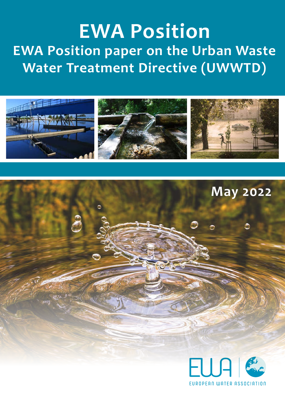# **EWA Position EWA Position paper on the Urban Waste Water Treatment Directive (UWWTD)**



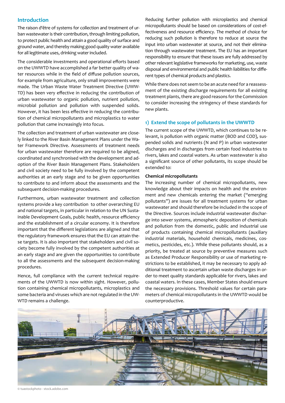## **Introduction**

The raison d'être of systems for collection and treatment of urban wastewater is their contribution, through limiting pollution, to protect public health and attain a good quality of surface and ground water, and thereby making good quality water available for all legitimate uses, drinking water included.

The considerable investments and operational efforts based on the UWWTD have accomplished a far better quality of water resources while in the field of diffuse pollution sources, for example from agriculture, only small improvements were made. The Urban Waste Water Treatment Directive (UWW-TD) has been very effective in reducing the contribution of urban wastewater to organic pollution, nutrient pollution, microbial pollution and pollution with suspended solids. However, it has been less effective in reducing the contribution of chemical micropollutants and microplastics to water pollution that came increasingly into focus.

The collection and treatment of urban wastewater are closely linked to the River Basin Management Plans under the Water Framework Directive. Assessments of treatment needs for urban wastewater therefore are required to be aligned, coordinated and synchronised with the development and adoption of the River Basin Management Plans. Stakeholders and civil society need to be fully involved by the competent authorities at an early stage and to be given opportunities to contribute to and inform about the assessments and the subsequent decision-making procedures.

Furthermore, urban wastewater treatment and collection systems provide a key contribution to other overarching EU and national targets, in particular in relation to the UN Sustainable Development Goals, public health, resource efficiency and the establishment of a circular economy. It is therefore important that the different legislations are aligned and that the regulatory framework ensures that the EU can attain these targets. It is also important that stakeholders and civil society become fully involved by the competent authorities at an early stage and are given the opportunities to contribute to all the assessments and the subsequent decision-making procedures.

Hence, full compliance with the current technical requirements of the UWWTD is now within sight. However, pollution containing chemical micropollutants, microplastics and some bacteria and viruses which are not regulated in the UW-WTD remains a challenge.

Reducing further pollution with microplastics and chemical micropollutants should be based on considerations of cost-effectiveness and resource efficiency. The method of choice for reducing such pollution is therefore to reduce at source the input into urban wastewater at source, and not their elimination through wastewater treatment. The EU has an important responsibility to ensure that these issues are fully addressed by other relevant legislative frameworks for marketing, use, waste disposal and environmental and public health liabilities for different types of chemical products and plastics.

While there does not seem to be an acute need for a reassessment of the existing discharge requirements for all existing treatment plants, there are good reasons for the Commission to consider increasing the stringency of these standards for new plants.

### **1) Extend the scope of pollutants in the UWWTD**

The current scope of the UWWTD, which continues to be relevant, is pollution with organic matter (BOD and COD), suspended solids and nutrients (N and P) in urban wastewater discharges and in discharges from certain food industries to rivers, lakes and coastal waters. As urban wastewater is also a significant source of other pollutants, its scope should be extended to:

### **Chemical micropollutants**

The increasing number of chemical micropollutants, new knowledge about their impacts on health and the environment and new chemicals entering the market ("emerging pollutants") are issues for all treatment systems for urban wastewater and should therefore be included in the scope of the Directive. Sources include industrial wastewater discharge into sewer systems, atmospheric deposition of chemicals and pollution from the domestic, public and industrial use of products containing chemical micropollutants (auxiliary industrial materials, household chemicals, medicines, cosmetics, pesticides, etc.). While these pollutants should, as a priority, be treated at source by preventive measures such as Extended Producer Responsibility or use of marketing restrictions to be established, it may be necessary to apply additional treatment to ascertain urban waste discharges in order to meet quality standards applicable for rivers, lakes and coastal waters. In these cases, Member States should ensure the necessary provisions. Threshold values for certain parameters of chemical micropollutants in the UWWTD would be counterproductive.



© tuastockphoto - stock.adobe.com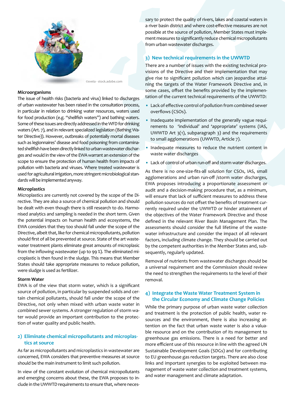

#### **Microorganisms**

The issue of health risks (bacteria and virus) linked to discharges of urban wastewater has been raised in the consultation process, in particular in relation to drinking water resources, waters used for food production (e.g. "shellfish waters") and bathing waters. Some of these issues are directly addressed in the WFD for drinking waters (Art. 7), and in relevant specialized legislation (Bathing Water Directive)). However, outbreaks of potentially mortal diseases such as legionnaires' disease and food poisoning from contaminated shellfish have been directly linked to urban wastewater discharges and would in the view of the EWA warrant an extension of the scope to ensure the protection of human health from impacts of pollution with bacteria and viruses. Where treated wastewater is used for agricultural irrigation, more stringent microbiological standards will be implemented anyway.

### **Microplastics**

Microplastics are currently not covered by the scope of the Directive. They are also a source of chemical pollution and should be dealt with even though there is still research to do. Harmonised analytics and sampling is needed in the short term. Given the potential impacts on human health and ecosystems, the EWA considers that they too should fall under the scope of the Directive, albeit that, like for chemical micropollutants, pollution should first of all be prevented at source. State of the art wastewater treatment plants eliminate great amounts of microplasic from the inflowing wastewater (up to 99 %). The eliminated microplastic is then found in the sludge. This means that Member States should take appropriate measures to reduce pollution, were sludge is used as fertilizer.

### **Storm Water**

EWA is of the view that storm water, which is a significant source of pollution, in particular by suspended solids and certain chemical pollutants, should fall under the scope of the Directive, not only when mixed with urban waste water in combined sewer systems. A stronger regulation of storm water would provide an important contribution to the protection of water quality and public health.

## **2) Eliminate chemical micropollutants and microplastics at source**

As far as micropollutants and microplastics in wastewater are concerned, EWA considers that preventive measures at source should be the main instrument to limit such pollution.

In view of the constant evolution of chemical micropollutants and emerging concerns about these, the EWA proposes to include in the UWWTD requirements to ensure that, where necessary to protect the quality of rivers, lakes and coastal waters in a river basin district and where cost-effective measures are not possible at the source of pollution, Member States must implement measures to significantly reduce chemical micropollutants from urban wastewater discharges.

## **3) New technical requirements in the UWWTD**

There are a number of issues with the existing technical provisions of the Directive and their implementation that may give rise to significant pollution which can jeopardise attaining the targets of the Water Framework Directive and, in some cases, offset the benefits provided by the implementation of the current technical requirements of the UWWTD:

- Lack of effective control of pollution from combined sewer overflows (CSOs).
- Inadequate implementation of the generally vague requirements to 'individual' and 'appropriate' systems (IAS, UWWTD Art 3(1), subparagraph 3) and the requirements to small agglomerations (UWWTD, Article 7).
- Inadequate measures to reduce the nutrient content in waste water discharges
- Lack of control of urban run-off and storm water discharges.

As there is no one-size-fits-all solution for CSOs, IAS, small agglomerations and urban run-off /storm water discharges, EWA proposes introducing a proportionate assessment or audit and a decision-making procedure that, as a minimum, will ensure that lack of sufficient measures to address these pollution sources do not offset the benefits of treatment currently required under the UWWTD or hinder attainment of the objectives of the Water Framework Directive and those defined in the relevant River Basin Management Plan. The assessments should consider the full lifetime of the wastewater infrastructure and consider the impact of all relevant factors, including climate change. They should be carried out by the competent authorities in the Member States and, subsequently, regularly updated.

Removal of nutrients from wastewater discharges should be a universal requirement and the Commission should review the need to strengthen the requirements to the level of their removal.

## **4) Integrate the Waste Water Treatment System in the Circular Economy and Climate Change Policies**

While the primary purpose of urban waste water collection and treatment is the protection of public health, water resources and the environment, there is also increasing attention on the fact that urban waste water is also a valuable resource and on the contribution of its management to greenhouse gas emissions. There is a need for better and more efficient use of this resource in line with the agreed UN Sustainable Development Goals (SDGs) and for contributing to EU greenhouse gas reduction targets. There are also close links and important synergies to be exploited between management of waste water collection and treatment systems, and water management and climate adaptation.